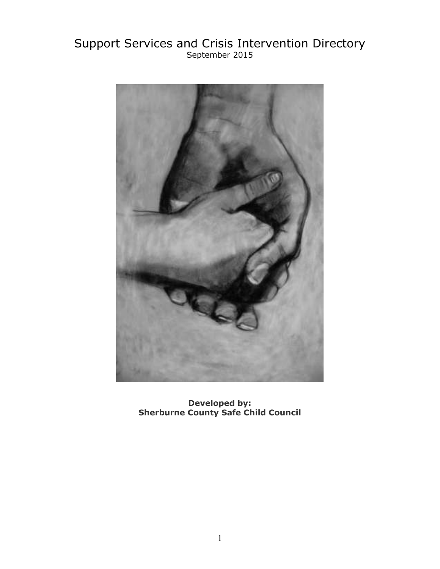# Support Services and Crisis Intervention Directory September 2015



**Developed by: Sherburne County Safe Child Council**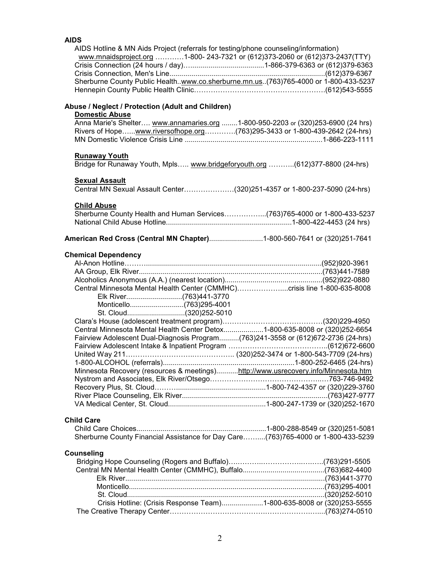### **AIDS**

| AIDS Hotline & MN Aids Project (referrals for testing/phone counseling/information)<br>www.mnaidsproject.org 1-800- 243-7321 or (612)373-2060 or (612)373-2437(TTY)<br>Sherburne County Public Healthwww.co.sherburne.mn.us. (763)765-4000 or 1-800-433-5237 |  |
|--------------------------------------------------------------------------------------------------------------------------------------------------------------------------------------------------------------------------------------------------------------|--|
| Abuse / Neglect / Protection (Adult and Children)                                                                                                                                                                                                            |  |
| <b>Domestic Abuse</b>                                                                                                                                                                                                                                        |  |
| Anna Marie's Shelter www.annamaries.org 1-800-950-2203 or (320)253-6900 (24 hrs)                                                                                                                                                                             |  |
| Rivers of Hopewww.riversofhope.org(763)295-3433 or 1-800-439-2642 (24-hrs)                                                                                                                                                                                   |  |
| <b>Runaway Youth</b>                                                                                                                                                                                                                                         |  |
| Bridge for Runaway Youth, Mpls www.bridgeforyouth.org (612)377-8800 (24-hrs)                                                                                                                                                                                 |  |
| <b>Sexual Assault</b>                                                                                                                                                                                                                                        |  |
| Central MN Sexual Assault Center(320)251-4357 or 1-800-237-5090 (24-hrs)                                                                                                                                                                                     |  |
| <b>Child Abuse</b>                                                                                                                                                                                                                                           |  |
| Sherburne County Health and Human Services(763)765-4000 or 1-800-433-5237                                                                                                                                                                                    |  |
|                                                                                                                                                                                                                                                              |  |
| <b>American Red Cross (Central MN Chapter)</b> 1-800-560-7641 or (320)251-7641                                                                                                                                                                               |  |
| <b>Chemical Dependency</b>                                                                                                                                                                                                                                   |  |
|                                                                                                                                                                                                                                                              |  |
|                                                                                                                                                                                                                                                              |  |
|                                                                                                                                                                                                                                                              |  |
| Central Minnesota Mental Health Center (CMMHC)crisis line 1-800-635-8008                                                                                                                                                                                     |  |
|                                                                                                                                                                                                                                                              |  |
|                                                                                                                                                                                                                                                              |  |
| St. Cloud(320)252-5010                                                                                                                                                                                                                                       |  |
|                                                                                                                                                                                                                                                              |  |
| Central Minnesota Mental Health Center Detox1-800-635-8008 or (320)252-6654                                                                                                                                                                                  |  |
| Fairview Adolescent Dual-Diagnosis Program(763)241-3558 or (612)672-2736 (24-hrs)                                                                                                                                                                            |  |
|                                                                                                                                                                                                                                                              |  |
|                                                                                                                                                                                                                                                              |  |
|                                                                                                                                                                                                                                                              |  |
| Minnesota Recovery (resources & meetings)http://www.usrecovery.info/Minnesota.htm                                                                                                                                                                            |  |
|                                                                                                                                                                                                                                                              |  |
|                                                                                                                                                                                                                                                              |  |
|                                                                                                                                                                                                                                                              |  |
|                                                                                                                                                                                                                                                              |  |
| <b>Child Care</b>                                                                                                                                                                                                                                            |  |
|                                                                                                                                                                                                                                                              |  |
| Sherburne County Financial Assistance for Day Care(763)765-4000 or 1-800-433-5239                                                                                                                                                                            |  |
| Counseling                                                                                                                                                                                                                                                   |  |
|                                                                                                                                                                                                                                                              |  |
|                                                                                                                                                                                                                                                              |  |
|                                                                                                                                                                                                                                                              |  |
|                                                                                                                                                                                                                                                              |  |
|                                                                                                                                                                                                                                                              |  |
| Crisis Hotline: (Crisis Response Team)1-800-635-8008 or (320)253-5555                                                                                                                                                                                        |  |
|                                                                                                                                                                                                                                                              |  |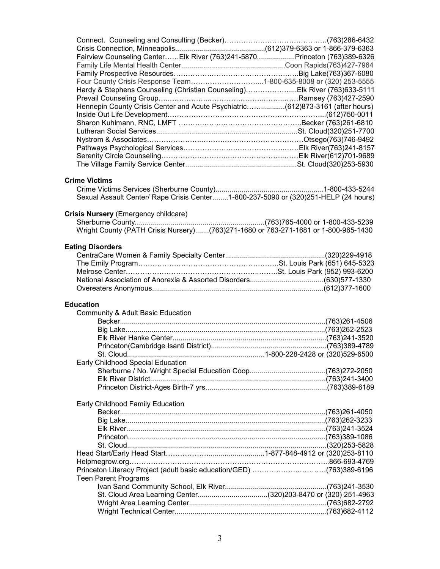| Fairview Counseling Center Elk River (763)241-5870Princeton (763)389-6326           |  |
|-------------------------------------------------------------------------------------|--|
|                                                                                     |  |
|                                                                                     |  |
| Four County Crisis Response Team1-800-635-8008 or (320) 253-5555                    |  |
| Hardy & Stephens Counseling (Christian Counseling)Elk River (763)633-5111           |  |
|                                                                                     |  |
| Hennepin County Crisis Center and Acute Psychiatric(612)873-3161 (after hours)      |  |
|                                                                                     |  |
|                                                                                     |  |
|                                                                                     |  |
|                                                                                     |  |
|                                                                                     |  |
|                                                                                     |  |
|                                                                                     |  |
|                                                                                     |  |
| <b>Crime Victims</b>                                                                |  |
|                                                                                     |  |
| Sexual Assault Center/ Rape Crisis Center1-800-237-5090 or (320)251-HELP (24 hours) |  |
| Crisis Nursery (Emergency childcare)                                                |  |
|                                                                                     |  |
| Wright County (PATH Crisis Nursery)(763)271-1680 or 763-271-1681 or 1-800-965-1430  |  |
|                                                                                     |  |
| <b>Eating Disorders</b>                                                             |  |
|                                                                                     |  |
|                                                                                     |  |
|                                                                                     |  |
|                                                                                     |  |
|                                                                                     |  |
|                                                                                     |  |
|                                                                                     |  |
| <b>Education</b>                                                                    |  |
| Community & Adult Basic Education                                                   |  |
|                                                                                     |  |
|                                                                                     |  |
|                                                                                     |  |
|                                                                                     |  |
|                                                                                     |  |
| Early Childhood Special Education                                                   |  |
|                                                                                     |  |
|                                                                                     |  |
|                                                                                     |  |
|                                                                                     |  |
| Early Childhood Family Education                                                    |  |
|                                                                                     |  |
|                                                                                     |  |
|                                                                                     |  |
|                                                                                     |  |
|                                                                                     |  |
|                                                                                     |  |
|                                                                                     |  |
| Princeton Literacy Project (adult basic education/GED) (763)389-6196                |  |
| <b>Teen Parent Programs</b>                                                         |  |
|                                                                                     |  |
| St. Cloud Area Learning Center(320)203-8470 or (320) 251-4963                       |  |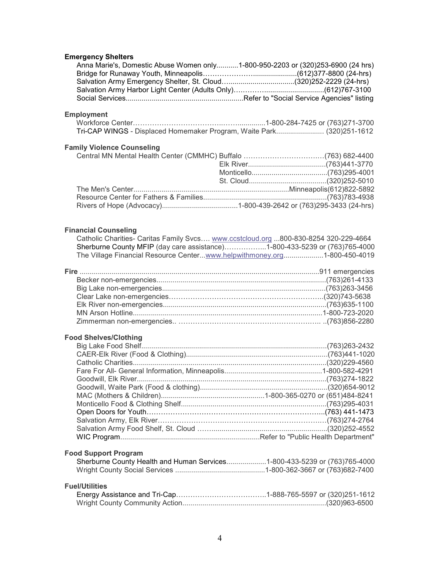## **Emergency Shelters**

| Emergency Shelters                                                              |  |
|---------------------------------------------------------------------------------|--|
| Anna Marie's, Domestic Abuse Women only1-800-950-2203 or (320)253-6900 (24 hrs) |  |
|                                                                                 |  |
|                                                                                 |  |
|                                                                                 |  |
|                                                                                 |  |
|                                                                                 |  |

### **Employment**

| Tri-CAP WINGS - Displaced Homemaker Program, Waite Park (320)251-1612 |  |
|-----------------------------------------------------------------------|--|

#### **Family Violence Counseling**

#### **Financial Counseling**

| Catholic Charities- Caritas Family Svcs www.ccstcloud.org 800-830-8254 320-229-4664 |  |
|-------------------------------------------------------------------------------------|--|
| Sherburne County MFIP (day care assistance)1-800-433-5239 or (763)765-4000          |  |
| The Village Financial Resource Centerwww.helpwithmoney.org1-800-450-4019            |  |

### **Food Shelves/Clothing**

| <b>Food Support Program</b> |  |
|-----------------------------|--|

| Sherburne County Health and Human Services1-800-433-5239 or (763)765-4000 |
|---------------------------------------------------------------------------|
|                                                                           |

#### **Fuel/Utilities**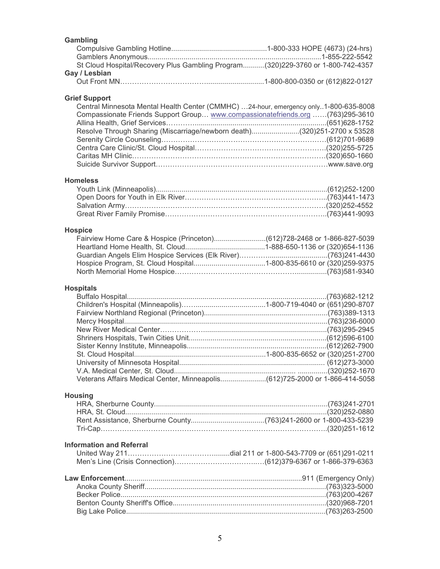| Gambling                                                                        |  |
|---------------------------------------------------------------------------------|--|
|                                                                                 |  |
|                                                                                 |  |
| St Cloud Hospital/Recovery Plus Gambling Program(320)229-3760 or 1-800-742-4357 |  |
| Gay / Lesbian                                                                   |  |
|                                                                                 |  |

#### **Grief Support**

| Central Minnesota Mental Health Center (CMMHC) 24-hour, emergency only1-800-635-8008 |  |
|--------------------------------------------------------------------------------------|--|
| Compassionate Friends Support Group www.compassionatefriends.org (763)295-3610       |  |
|                                                                                      |  |
| Resolve Through Sharing (Miscarriage/newborn death)(320)251-2700 x 53528             |  |
|                                                                                      |  |
|                                                                                      |  |
|                                                                                      |  |
|                                                                                      |  |
|                                                                                      |  |

#### **Homeless**

#### **Hospice**

#### **Hospitals**

#### **Housing**

#### **Information and Referral**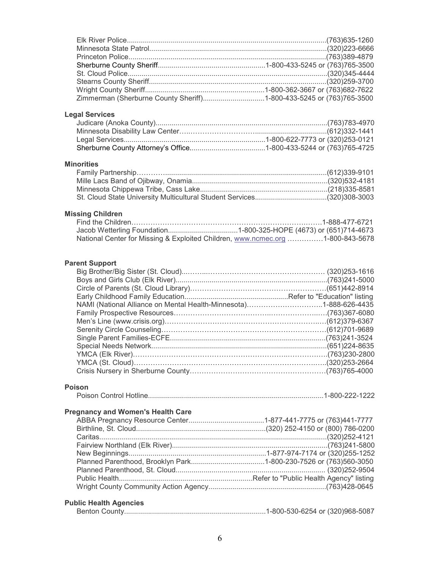### **Legal Services**

### **Minorities**

### **Missing Children**

| National Center for Missing & Exploited Children, www.ncmec.org 1-800-843-5678 |
|--------------------------------------------------------------------------------|

#### **Parent Support**

| NAMI (National Alliance on Mental Health-Minnesota)1-888-626-4435 |  |
|-------------------------------------------------------------------|--|
|                                                                   |  |
|                                                                   |  |
|                                                                   |  |
|                                                                   |  |
|                                                                   |  |
|                                                                   |  |
|                                                                   |  |
|                                                                   |  |

#### **Poison**

|--|--|--|

#### **Pregnancy and Women's Health Care**

#### **Public Health Agencies**

|--|--|--|--|--|--|--|--|